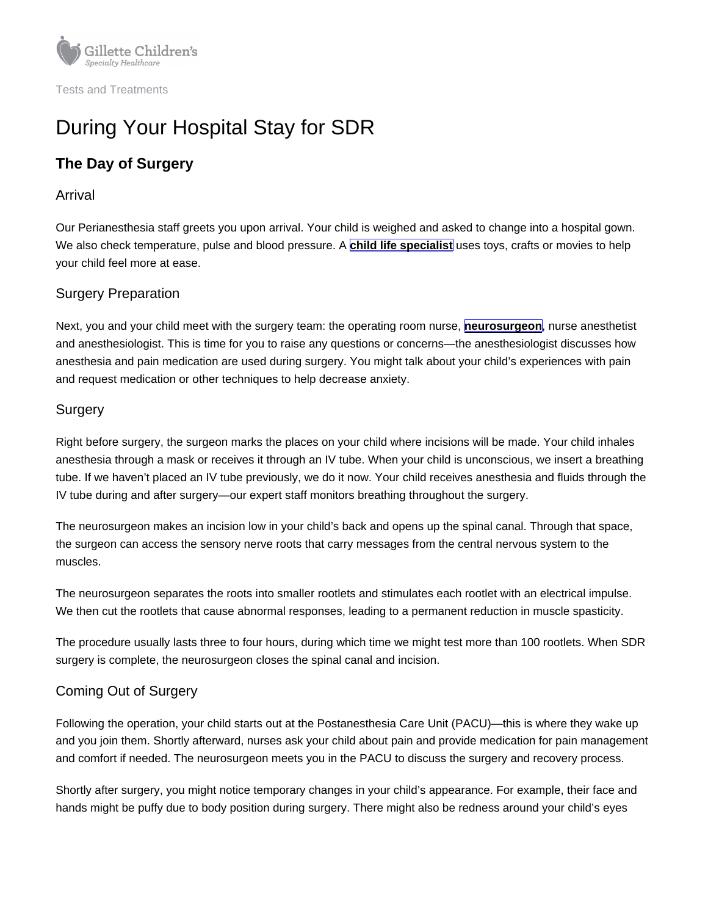# During Your Hospital Stay for SDR

# The Day of Surgery

#### Arrival

Our Perianesthesia staff greets you upon arrival. Your child is weighed and asked to change into a hospital gown. We also check temperature, pulse and blood pressure. A [child life specialist](https://www.gillettechildrens.org/conditions-care/child-life) uses toys, crafts or movies to help your child feel more at ease.

## Surgery Preparation

Next, you and your child meet with the surgery team: the operating room nurse, [neurosurgeon](https://www.gillettechildrens.org/conditions-care/neurosurgery), nurse anesthetist and anesthesiologist. This is time for you to raise any questions or concerns—the anesthesiologist discusses how anesthesia and pain medication are used during surgery. You might talk about your child's experiences with pain and request medication or other techniques to help decrease anxiety.

#### **Surgery**

Right before surgery, the surgeon marks the places on your child where incisions will be made. Your child inhales anesthesia through a mask or receives it through an IV tube. When your child is unconscious, we insert a breathing tube. If we haven't placed an IV tube previously, we do it now. Your child receives anesthesia and fluids through the IV tube during and after surgery—our expert staff monitors breathing throughout the surgery.

The neurosurgeon makes an incision low in your child's back and opens up the spinal canal. Through that space, the surgeon can access the sensory nerve roots that carry messages from the central nervous system to the muscles.

The neurosurgeon separates the roots into smaller rootlets and stimulates each rootlet with an electrical impulse. We then cut the rootlets that cause abnormal responses, leading to a permanent reduction in muscle spasticity.

The procedure usually lasts three to four hours, during which time we might test more than 100 rootlets. When SDR surgery is complete, the neurosurgeon closes the spinal canal and incision.

# Coming Out of Surgery

Following the operation, your child starts out at the Postanesthesia Care Unit (PACU)—this is where they wake up and you join them. Shortly afterward, nurses ask your child about pain and provide medication for pain management and comfort if needed. The neurosurgeon meets you in the PACU to discuss the surgery and recovery process.

Shortly after surgery, you might notice temporary changes in your child's appearance. For example, their face and hands might be puffy due to body position during surgery. There might also be redness around your child's eyes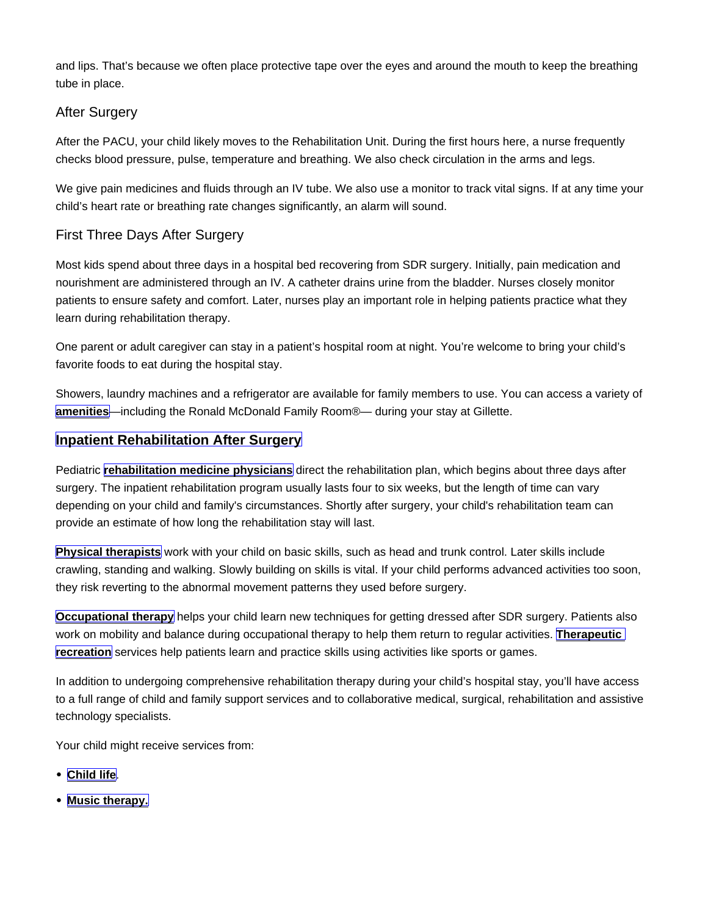and lips. That's because we often place protective tape over the eyes and around the mouth to keep the breathing tube in place.

#### After Surgery

After the PACU, your child likely moves to the Rehabilitation Unit. During the first hours here, a nurse frequently checks blood pressure, pulse, temperature and breathing. We also check circulation in the arms and legs.

We give pain medicines and fluids through an IV tube. We also use a monitor to track vital signs. If at any time your child's heart rate or breathing rate changes significantly, an alarm will sound.

## First Three Days After Surgery

Most kids spend about three days in a hospital bed recovering from SDR surgery. Initially, pain medication and nourishment are administered through an IV. A catheter drains urine from the bladder. Nurses closely monitor patients to ensure safety and comfort. Later, nurses play an important role in helping patients practice what they learn during rehabilitation therapy.

One parent or adult caregiver can stay in a patient's hospital room at night. You're welcome to bring your child's favorite foods to eat during the hospital stay.

Showers, laundry machines and a refrigerator are available for family members to use. You can access a variety of [amenities](https://www.gillettechildrens.org/your-visit/during-your-visit-or-hospital-stay/st-paul-campus-amenities-and-activities) —including the Ronald McDonald Family Room®— during your stay at Gillette.

#### Inpatient Rehabilitation After Surgery

Pediatric [rehabilitation medicine physicians](https://www.gillettechildrens.org/conditions-care/rehabilitation-services/rehabilitation-medicine) direct the rehabilitation plan, which begins about three days after surgery. The inpatient rehabilitation program usually lasts four to six weeks, but the length of time can vary depending on your child and family's circumstances. Shortly after surgery, your child's rehabilitation team can provide an estimate of how long the rehabilitation stay will last.

[Physical therapists](https://www.gillettechildrens.org/conditions-care/physical-therapy) work with your child on basic skills, such as head and trunk control. Later skills include crawling, standing and walking. Slowly building on skills is vital. If your child performs advanced activities too soon, they risk reverting to the abnormal movement patterns they used before surgery.

[Occupational therapy](https://www.gillettechildrens.org/conditions-care/occupational-therapy) helps your child learn new techniques for getting dressed after SDR surgery. Patients also work on mobility and balance during occupational therapy to help them return to regular activities. Therapeutic [recreation](https://www.gillettechildrens.org/conditions-care/therapeutic-recreation) services help patients learn and practice skills using activities like sports or games.

In addition to undergoing comprehensive rehabilitation therapy during your child's hospital stay, you'll have access to a full range of child and family support services and to collaborative medical, surgical, rehabilitation and assistive technology specialists.

Your child might receive services from:

- [Child life](https://www.gillettechildrens.org/conditions-care/child-life)
- [Music therapy.](https://www.gillettechildrens.org/conditions-care/music-therapy)